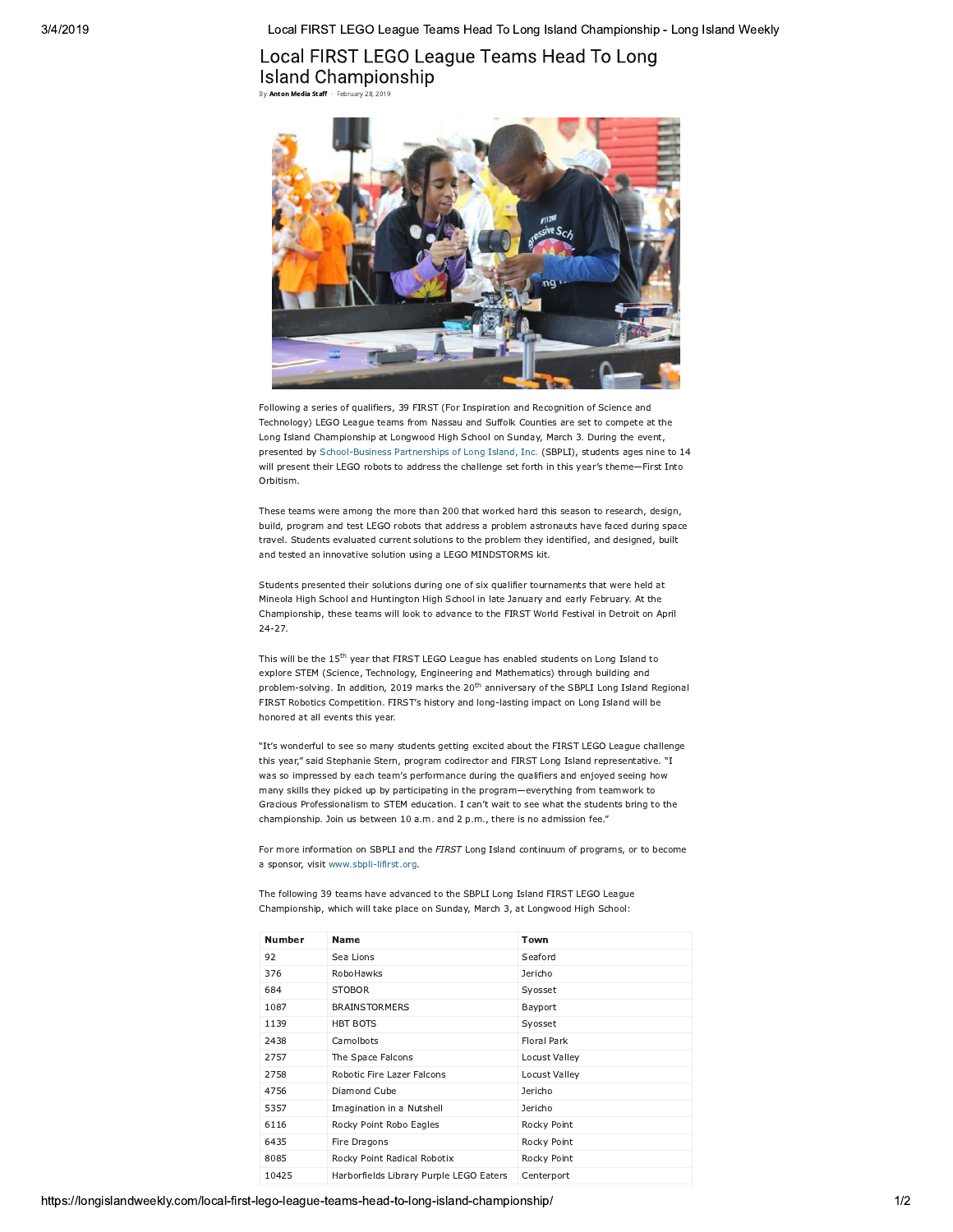Local FIRST LEGO League Teams Head To Long Island Championship - Long Island Weekly

## Local FIRST LEGO League Teams Head To Long Island Championship By Anton Media Staff - February 28, 2019



Following a series of qualifiers, 39 FIRST (For Inspiration and Recognition of Science and Technology) LEGO League teams from Nassau and Suffolk Counties are set to compete at the Long Island Championship at Longwood High School on Sunday, March 3. During the event, presented by School-Business Partnerships of Long Island, Inc. (SBPLI), students ages nine to 14 will present their LEGO robots to address the challenge set forth in this year's theme-First Into Orbitism.

These teams were among the more than 200 that worked hard this season to research, design, build, program and test LEGO robots that address a problem astronauts have faced during space travel. Students evaluated current solutions to the problem they identified, and designed, built and tested an innovative solution using a LEGO MINDSTORMS kit.

Students presented their solutions during one of six qualifier tournaments that were held at Mineola High School and Huntington High School in late January and early February. At the Championship, these teams will look to advance to the FIRST World Festival in Detroit on April  $24 - 27$ .

This will be the  $15^{\text{th}}$  year that FIRST LEGO League has enabled students on Long Island to explore STEM (Science, Technology, Engineering and Mathematics) through building and problem-solving. In addition, 2019 marks the 20<sup>th</sup> anniversary of the SBPLI Long Island Regional FIRST Robotics Competition. FIRST's history and long-lasting impact on Long Island will be honored at all events this year.

"It's wonderful to see so many students getting excited about the FIRST LEGO League challenge this year." said Stephanie Stern, program codirector and FIRST Long Island representative. "I was so impressed by each team's performance during the qualifiers and enjoyed seeing how many skills they picked up by participating in the program-everything from teamwork to Gracious Professionalism to STEM education. I can't wait to see what the students bring to the championship. Join us between 10 a.m. and 2 p.m., there is no admission fee."

For more information on SBPLI and the FIRST Long Island continuum of programs, or to become a sponsor, visit www.sbpli-lifirst.org.

The following 39 teams have advanced to the SBPLI Long Island FIRST LEGO League Championship, which will take place on Sunday, March 3, at Longwood High School:

| <b>Number</b> | <b>Name</b>                             | Town          |
|---------------|-----------------------------------------|---------------|
| 92            | Sea Lions                               | Seaford       |
| 376           | RoboHawks                               | Jericho       |
| 684           | <b>STOBOR</b>                           | Syosset       |
| 1087          | <b>BRAINSTORMERS</b>                    | Bayport       |
| 1139          | <b>HBT BOTS</b>                         | Syosset       |
| 2438          | Camolbots                               | Floral Park   |
| 2757          | The Space Falcons                       | Locust Valley |
| 2758          | Robotic Fire Lazer Falcons              | Locust Valley |
| 4756          | Diamond Cube                            | Jericho       |
| 5357          | Imagination in a Nutshell               | Jericho       |
| 6116          | Rocky Point Robo Eagles                 | Rocky Point   |
| 6435          | Fire Dragons                            | Rocky Point   |
| 8085          | Rocky Point Radical Robotix             | Rocky Point   |
| 10425         | Harborfields Library Purple LEGO Eaters | Centerport    |